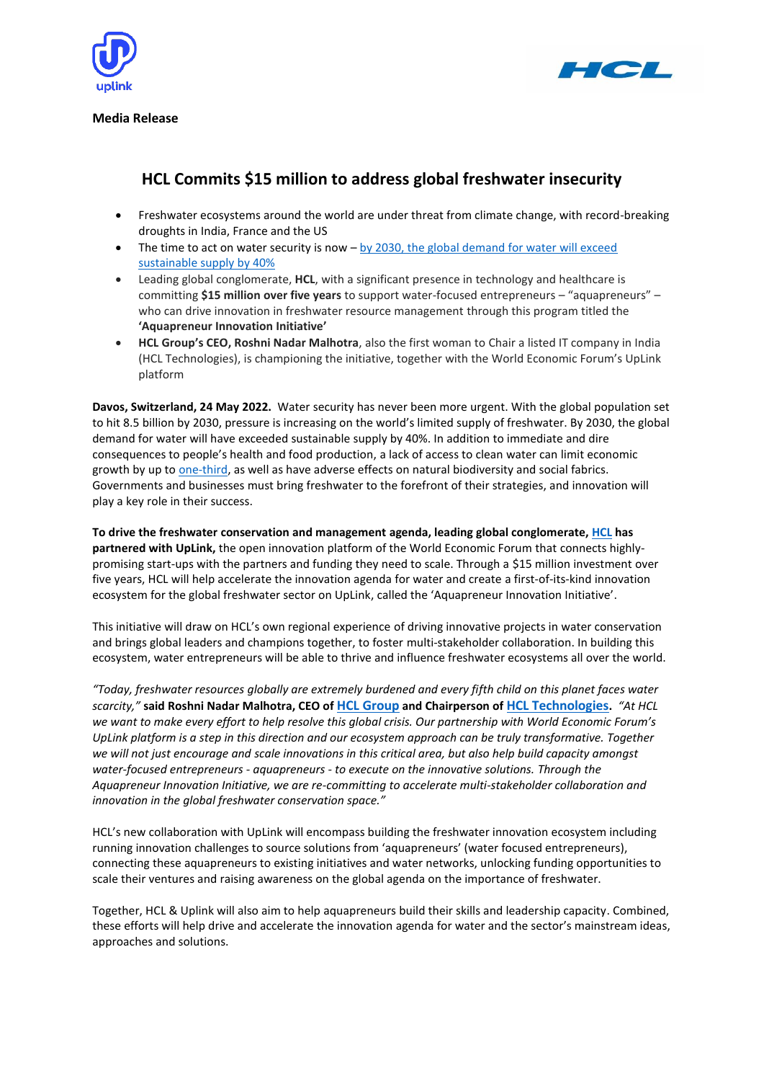



**Media Release**

## **HCL Commits \$15 million to address global freshwater insecurity**

- Freshwater ecosystems around the world are under threat from climate change, with record-breaking droughts in India, France and the US
- The time to act on water security is now  $-$  by 2030, the global demand for water will exceed [sustainable supply by 40%](https://www.resourcepanel.org/reports/options-decoupling-economic-growth-water-use-and-water-pollution)
- Leading global conglomerate, **HCL**, with a significant presence in technology and healthcare is committing **\$15 million over five years** to support water-focused entrepreneurs – "aquapreneurs" – who can drive innovation in freshwater resource management through this program titled the **'Aquapreneur Innovation Initiative'**
- **HCL Group's CEO, Roshni Nadar Malhotra**, also the first woman to Chair a listed IT company in India (HCL Technologies), is championing the initiative, together with the World Economic Forum's UpLink platform

**Davos, Switzerland, 24 May 2022.** Water security has never been more urgent. With the global population set to hit 8.5 billion by 2030, pressure is increasing on the world's limited supply of freshwater. By 2030, the global demand for water will have exceeded sustainable supply by 40%. In addition to immediate and dire consequences to people's health and food production, a lack of access to clean water can limit economic growth by up to [one-third,](https://www.worldbank.org/en/news/press-release/2019/08/20/worsening-water-quality-reducing-economic-growth-by-a-third-in-some-countries#:~:text=The%20report%20finds%20that%20a,key%20factor%20for%20economic%20growth.) as well as have adverse effects on natural biodiversity and social fabrics. Governments and businesses must bring freshwater to the forefront of their strategies, and innovation will play a key role in their success.

**To drive the freshwater conservation and management agenda, leading global conglomerate, [HCL](https://hcl.com/) has partnered with UpLink,** the open innovation platform of the World Economic Forum that connects highlypromising start-ups with the partners and funding they need to scale. Through a \$15 million investment over five years, HCL will help accelerate the innovation agenda for water and create a first-of-its-kind innovation ecosystem for the global freshwater sector on UpLink, called the 'Aquapreneur Innovation Initiative'.

This initiative will draw on HCL's own regional experience of driving innovative projects in water conservation and brings global leaders and champions together, to foster multi-stakeholder collaboration. In building this ecosystem, water entrepreneurs will be able to thrive and influence freshwater ecosystems all over the world.

*"Today, freshwater resources globally are extremely burdened and every fifth child on this planet faces water scarcity,"* **said Roshni Nadar Malhotra, CEO of [HCL Group](https://hcl.com/) and Chairperson of [HCL Technologies](https://www.hcltech.com/).** *"At HCL we want to make every effort to help resolve this global crisis. Our partnership with World Economic Forum's UpLink platform is a step in this direction and our ecosystem approach can be truly transformative. Together we will not just encourage and scale innovations in this critical area, but also help build capacity amongst water-focused entrepreneurs - aquapreneurs - to execute on the innovative solutions. Through the Aquapreneur Innovation Initiative, we are re-committing to accelerate multi-stakeholder collaboration and innovation in the global freshwater conservation space."*

HCL's new collaboration with UpLink will encompass building the freshwater innovation ecosystem including running innovation challenges to source solutions from 'aquapreneurs' (water focused entrepreneurs), connecting these aquapreneurs to existing initiatives and water networks, unlocking funding opportunities to scale their ventures and raising awareness on the global agenda on the importance of freshwater.

Together, HCL & Uplink will also aim to help aquapreneurs build their skills and leadership capacity. Combined, these efforts will help drive and accelerate the innovation agenda for water and the sector's mainstream ideas, approaches and solutions.